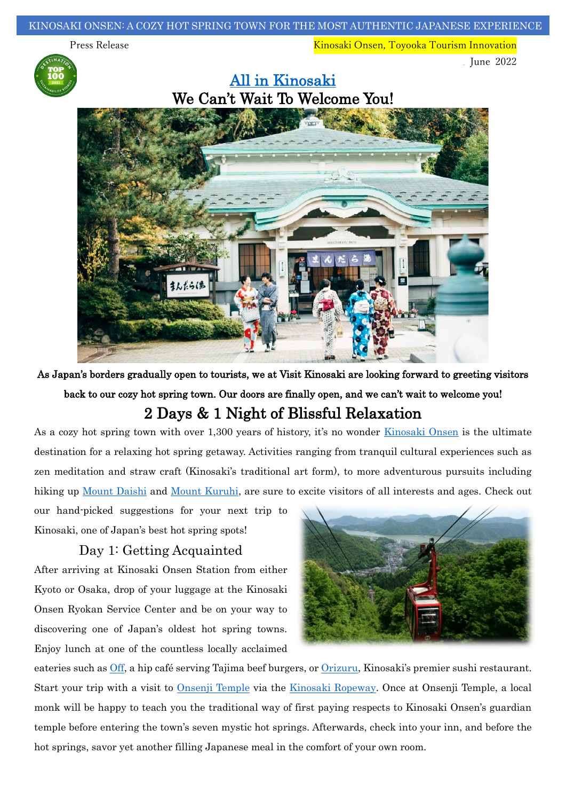Press Release Kinosaki Onsen, Toyooka Tourism Innovation



 $\sqrt{5}$  June 2022



As Japan's borders gradually open to tourists, we at Visit Kinosaki are looking forward to greeting visitors back to our cozy hot spring town. Our doors are finally open, and we can't wait to welcome you! 2 Days & 1 Night of Blissful Relaxation

As a cozy hot spring town with over 1,300 years of history, it's no wonder [Kinosaki Onsen](https://visitkinosaki.com/campaign-welcome/) is the ultimate destination for a relaxing hot spring getaway. Activities ranging from tranquil cultural experiences such as zen meditation and straw craft (Kinosaki's traditional art form), to more adventurous pursuits including hiking up [Mount Daishi](https://visitkinosaki.com/things-to-do/ropeway-hiking-course/) and [Mount Kuruhi,](https://visitkinosaki.com/things-to-do/mount-kuruhi/) are sure to excite visitors of all interests and ages. Check out

our hand-picked suggestions for your next trip to Kinosaki, one of Japan's best hot spring spots!

## Day 1: Getting Acquainted

After arriving at Kinosaki Onsen Station from either Kyoto or Osaka, drop of your luggage at the Kinosaki Onsen Ryokan Service Center and be on your way to discovering one of Japan's oldest hot spring towns. Enjoy lunch at one of the countless locally acclaimed



eateries such as [Off,](https://visitkinosaki.com/dining/off-kinosaki/) a hip café serving Tajima beef burgers, or [Orizuru](https://visitkinosaki.com/dining/orizuru/), Kinosaki's premier sushi restaurant. Start your trip with a visit to [Onsenji Temple](https://visitkinosaki.com/things-to-do/onsen-ji-temple/) via the [Kinosaki Ropeway.](https://visitkinosaki.com/things-to-do/ropeway/) Once at Onsenji Temple, a local monk will be happy to teach you the traditional way of first paying respects to Kinosaki Onsen's guardian temple before entering the town's seven mystic hot springs. Afterwards, check into your inn, and before the hot springs, savor yet another filling Japanese meal in the comfort of your own room.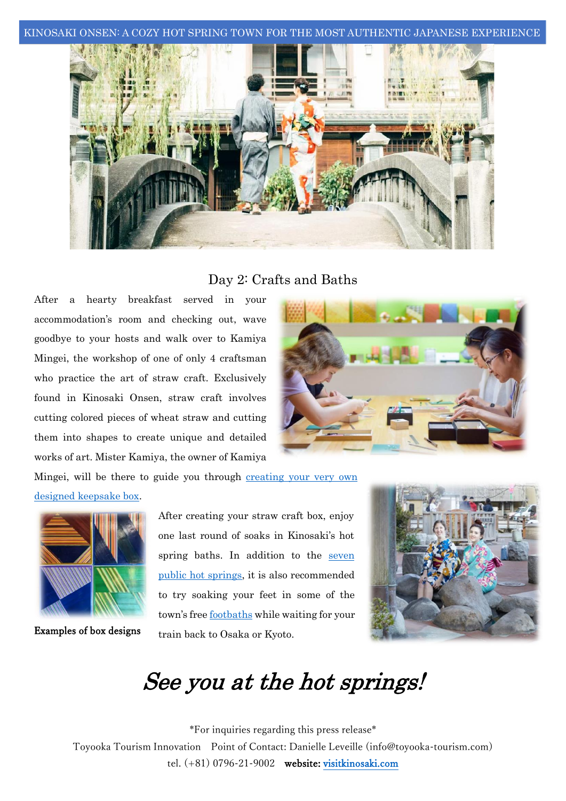KINOSAKI ONSEN: A COZY HOT SPRING TOWN FOR THE MOST AUTHENTIC JAPANESE EXPERIENCE



## Day 2: Crafts and Baths

After a hearty breakfast served in your accommodation's room and checking out, wave goodbye to your hosts and walk over to Kamiya Mingei, the workshop of one of only 4 craftsman who practice the art of straw craft. Exclusively found in Kinosaki Onsen, straw craft involves cutting colored pieces of wheat straw and cutting them into shapes to create unique and detailed works of art. Mister Kamiya, the owner of Kamiya



Mingei, will be there to guide you through creating [your very own](https://visitkinosaki.com/tour-packages/traditional-straw-craft-box-creation-activity-with-take-home-memento/) 

## [designed keepsake box.](https://visitkinosaki.com/tour-packages/traditional-straw-craft-box-creation-activity-with-take-home-memento/)



Examples of box designs

After creating your straw craft box, enjoy one last round of soaks in Kinosaki's hot spring baths. In addition to the seven [public hot springs,](https://visitkinosaki.com/about-kinosaki/the-7-mystic-onsen/) it is also recommended to try soaking your feet in some of the town's free [footbaths](https://visitkinosaki.com/things-to-do/foot-baths/) while waiting for your train back to Osaka or Kyoto.



## See you at the hot springs!

 \*For inquiries regarding this press release\* tel. (+81) 0796-21-9002 website: [visitkinosaki.com](https://visitkinosaki.com/) Toyooka Tourism Innovation Point of Contact: Danielle Leveille (info@toyooka-tourism.com)